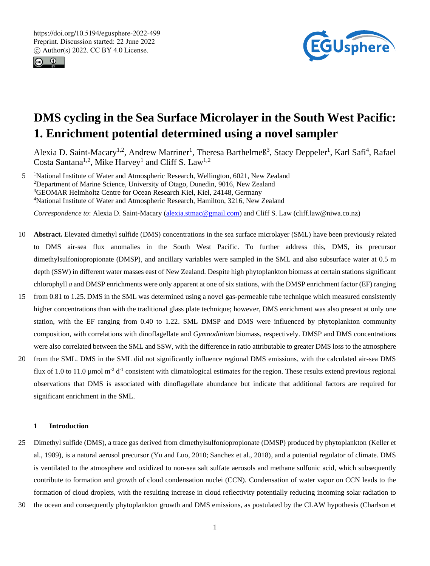



# **DMS cycling in the Sea Surface Microlayer in the South West Pacific: 1. Enrichment potential determined using a novel sampler**

Alexia D. Saint-Macary<sup>1,2</sup>, Andrew Marriner<sup>1</sup>, Theresa Barthelmeß<sup>3</sup>, Stacy Deppeler<sup>1</sup>, Karl Safi<sup>4</sup>, Rafael Costa Santana<sup>1,2</sup>, Mike Harvey<sup>1</sup> and Cliff S. Law<sup>1,2</sup>

5 <sup>1</sup>National Institute of Water and Atmospheric Research, Wellington, 6021, New Zealand <sup>2</sup>Department of Marine Science, University of Otago, Dunedin, 9016, New Zealand <sup>3</sup>GEOMAR Helmholtz Centre for Ocean Research Kiel, Kiel, 24148, Germany <sup>4</sup>National Institute of Water and Atmospheric Research, Hamilton, 3216, New Zealand

*Correspondence to*: Alexia D. Saint-Macary (alexia.stmac@gmail.com) and Cliff S. Law (cliff.law@niwa.co.nz)

- 10 **Abstract.** Elevated dimethyl sulfide (DMS) concentrations in the sea surface microlayer (SML) have been previously related to DMS air-sea flux anomalies in the South West Pacific. To further address this, DMS, its precursor dimethylsulfoniopropionate (DMSP), and ancillary variables were sampled in the SML and also subsurface water at 0.5 m depth (SSW) in different water masses east of New Zealand. Despite high phytoplankton biomass at certain stations significant chlorophyll *a* and DMSP enrichments were only apparent at one of six stations, with the DMSP enrichment factor (EF) ranging
- 15 from 0.81 to 1.25. DMS in the SML was determined using a novel gas-permeable tube technique which measured consistently higher concentrations than with the traditional glass plate technique; however, DMS enrichment was also present at only one station, with the EF ranging from 0.40 to 1.22. SML DMSP and DMS were influenced by phytoplankton community composition, with correlations with dinoflagellate and *Gymnodinium* biomass*,* respectively. DMSP and DMS concentrations were also correlated between the SML and SSW, with the difference in ratio attributable to greater DMS loss to the atmosphere
- 20 from the SML. DMS in the SML did not significantly influence regional DMS emissions, with the calculated air-sea DMS flux of 1.0 to 11.0  $\mu$ mol m<sup>-2</sup> d<sup>-1</sup> consistent with climatological estimates for the region. These results extend previous regional observations that DMS is associated with dinoflagellate abundance but indicate that additional factors are required for significant enrichment in the SML.

# **1 Introduction**

- 25 Dimethyl sulfide (DMS), a trace gas derived from dimethylsulfoniopropionate (DMSP) produced by phytoplankton (Keller et al., 1989), is a natural aerosol precursor (Yu and Luo, 2010; Sanchez et al., 2018), and a potential regulator of climate. DMS is ventilated to the atmosphere and oxidized to non-sea salt sulfate aerosols and methane sulfonic acid, which subsequently contribute to formation and growth of cloud condensation nuclei (CCN). Condensation of water vapor on CCN leads to the formation of cloud droplets, with the resulting increase in cloud reflectivity potentially reducing incoming solar radiation to
- 30 the ocean and consequently phytoplankton growth and DMS emissions, as postulated by the CLAW hypothesis (Charlson et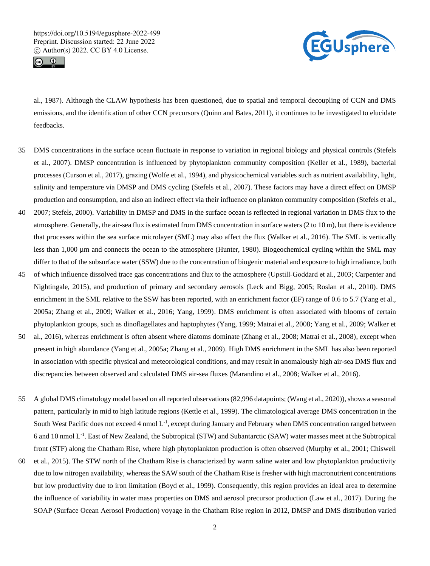



al., 1987). Although the CLAW hypothesis has been questioned, due to spatial and temporal decoupling of CCN and DMS emissions, and the identification of other CCN precursors (Quinn and Bates, 2011), it continues to be investigated to elucidate feedbacks.

- 35 DMS concentrations in the surface ocean fluctuate in response to variation in regional biology and physical controls (Stefels et al., 2007). DMSP concentration is influenced by phytoplankton community composition (Keller et al., 1989), bacterial processes (Curson et al., 2017), grazing (Wolfe et al., 1994), and physicochemical variables such as nutrient availability, light, salinity and temperature via DMSP and DMS cycling (Stefels et al., 2007). These factors may have a direct effect on DMSP production and consumption, and also an indirect effect via their influence on plankton community composition (Stefels et al.,
- 40 2007; Stefels, 2000). Variability in DMSP and DMS in the surface ocean is reflected in regional variation in DMS flux to the atmosphere. Generally, the air-sea flux is estimated from DMS concentration in surface waters (2 to 10 m), but there is evidence that processes within the sea surface microlayer (SML) may also affect the flux (Walker et al., 2016). The SML is vertically less than 1,000 µm and connects the ocean to the atmosphere (Hunter, 1980). Biogeochemical cycling within the SML may differ to that of the subsurface water (SSW) due to the concentration of biogenic material and exposure to high irradiance, both
- 45 of which influence dissolved trace gas concentrations and flux to the atmosphere (Upstill‐Goddard et al., 2003; Carpenter and Nightingale, 2015), and production of primary and secondary aerosols (Leck and Bigg, 2005; Roslan et al., 2010). DMS enrichment in the SML relative to the SSW has been reported, with an enrichment factor (EF) range of 0.6 to 5.7 (Yang et al., 2005a; Zhang et al., 2009; Walker et al., 2016; Yang, 1999). DMS enrichment is often associated with blooms of certain phytoplankton groups, such as dinoflagellates and haptophytes (Yang, 1999; Matrai et al., 2008; Yang et al., 2009; Walker et
- 50 al., 2016), whereas enrichment is often absent where diatoms dominate (Zhang et al., 2008; Matrai et al., 2008), except when present in high abundance (Yang et al., 2005a; Zhang et al., 2009). High DMS enrichment in the SML has also been reported in association with specific physical and meteorological conditions, and may result in anomalously high air-sea DMS flux and discrepancies between observed and calculated DMS air-sea fluxes (Marandino et al., 2008; Walker et al., 2016).
- 55 A global DMS climatology model based on all reported observations (82,996 datapoints; (Wang et al., 2020)), shows a seasonal pattern, particularly in mid to high latitude regions (Kettle et al., 1999). The climatological average DMS concentration in the South West Pacific does not exceed 4 nmol  $L^{-1}$ , except during January and February when DMS concentration ranged between 6 and 10 nmol L<sup>-1</sup>. East of New Zealand, the Subtropical (STW) and Subantarctic (SAW) water masses meet at the Subtropical front (STF) along the Chatham Rise, where high phytoplankton production is often observed (Murphy et al., 2001; Chiswell
- 60 et al., 2015). The STW north of the Chatham Rise is characterized by warm saline water and low phytoplankton productivity due to low nitrogen availability, whereas the SAW south of the Chatham Rise is fresher with high macronutrient concentrations but low productivity due to iron limitation (Boyd et al., 1999). Consequently, this region provides an ideal area to determine the influence of variability in water mass properties on DMS and aerosol precursor production (Law et al., 2017). During the SOAP (Surface Ocean Aerosol Production) voyage in the Chatham Rise region in 2012, DMSP and DMS distribution varied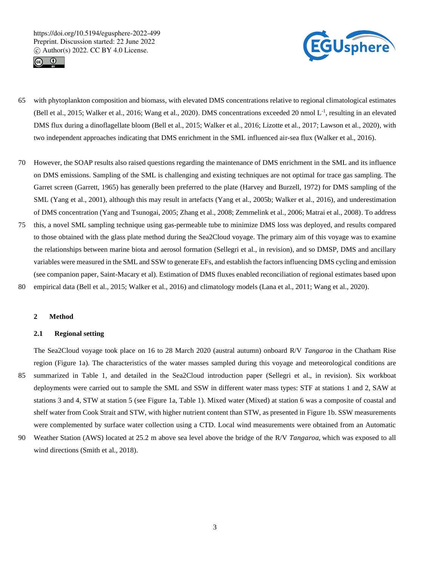



- 65 with phytoplankton composition and biomass, with elevated DMS concentrations relative to regional climatological estimates (Bell et al., 2015; Walker et al., 2016; Wang et al., 2020). DMS concentrations exceeded 20 nmol L<sup>-1</sup>, resulting in an elevated DMS flux during a dinoflagellate bloom (Bell et al., 2015; Walker et al., 2016; Lizotte et al., 2017; Lawson et al., 2020), with two independent approaches indicating that DMS enrichment in the SML influenced air-sea flux (Walker et al., 2016).
- 70 However, the SOAP results also raised questions regarding the maintenance of DMS enrichment in the SML and its influence on DMS emissions. Sampling of the SML is challenging and existing techniques are not optimal for trace gas sampling. The Garret screen (Garrett, 1965) has generally been preferred to the plate (Harvey and Burzell, 1972) for DMS sampling of the SML (Yang et al., 2001), although this may result in artefacts (Yang et al., 2005b; Walker et al., 2016), and underestimation of DMS concentration (Yang and Tsunogai, 2005; Zhang et al., 2008; Zemmelink et al., 2006; Matrai et al., 2008). To address
- 75 this, a novel SML sampling technique using gas-permeable tube to minimize DMS loss was deployed, and results compared to those obtained with the glass plate method during the Sea2Cloud voyage. The primary aim of this voyage was to examine the relationships between marine biota and aerosol formation (Sellegri et al., in revision), and so DMSP, DMS and ancillary variables were measured in the SML and SSW to generate EFs, and establish the factors influencing DMS cycling and emission (see companion paper, Saint-Macary et al). Estimation of DMS fluxes enabled reconciliation of regional estimates based upon
- 80 empirical data (Bell et al., 2015; Walker et al., 2016) and climatology models (Lana et al., 2011; Wang et al., 2020).

#### **2 Method**

#### **2.1 Regional setting**

The Sea2Cloud voyage took place on 16 to 28 March 2020 (austral autumn) onboard R/V *Tangaroa* in the Chatham Rise region (Figure 1a). The characteristics of the water masses sampled during this voyage and meteorological conditions are 85 summarized in Table 1, and detailed in the Sea2Cloud introduction paper (Sellegri et al., in revision). Six workboat deployments were carried out to sample the SML and SSW in different water mass types: STF at stations 1 and 2, SAW at stations 3 and 4, STW at station 5 (see Figure 1a, Table 1). Mixed water (Mixed) at station 6 was a composite of coastal and shelf water from Cook Strait and STW, with higher nutrient content than STW, as presented in Figure 1b. SSW measurements were complemented by surface water collection using a CTD. Local wind measurements were obtained from an Automatic

90 Weather Station (AWS) located at 25.2 m above sea level above the bridge of the R/V *Tangaroa*, which was exposed to all wind directions (Smith et al., 2018).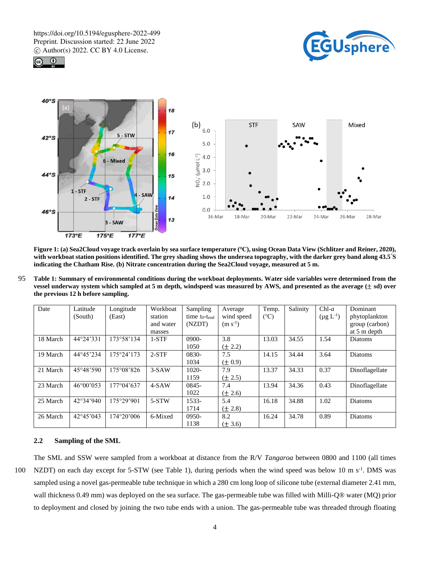





**Figure 1: (a) Sea2Cloud voyage track overlain by sea surface temperature (℃), using Ocean Data View (Schlitzer and Reiner, 2020), with workboat station positions identified. The grey shading shows the undersea topography, with the darker grey band along 43.5°S indicating the Chatham Rise. (b) Nitrate concentration during the Sea2Cloud voyage, measured at 5 m.**

95 **Table 1: Summary of environmental conditions during the workboat deployments. Water side variables were determined from the vessel underway system which sampled at 5 m depth, windspeed was measured by AWS, and presented as the average (**± **sd) over the previous 12 h before sampling.**

| Date     | Latitude<br>(South) | Longitude<br>(East) | Workboat<br>station | Sampling<br>time to-tend | Average<br>wind speed | Temp.<br>(C) | Salinity | $Chl-a$<br>$(\mu g L^{-1})$ | Dominant<br>phytoplankton |
|----------|---------------------|---------------------|---------------------|--------------------------|-----------------------|--------------|----------|-----------------------------|---------------------------|
|          |                     |                     | and water           | (NZDT)                   | $(m s^{-1})$          |              |          |                             | group (carbon)            |
|          |                     |                     | masses              |                          |                       |              |          |                             | at 5 m depth              |
| 18 March | 44°24'331           | 173°58'134          | $1-STF$             | 0900-                    | 3.8                   | 13.03        | 34.55    | 1.54                        | Diatoms                   |
|          |                     |                     |                     | 1050                     | $(\pm 2.2)$           |              |          |                             |                           |
| 19 March | 44°45'234           | 175°24'173          | $2-STF$             | 0830-                    | 7.5                   | 14.15        | 34.44    | 3.64                        | Diatoms                   |
|          |                     |                     |                     | 1034                     | $(\pm 0.9)$           |              |          |                             |                           |
| 21 March | 45°48'590           | 175°08'826          | $3-SAW$             | 1020-                    | 7.9                   | 13.37        | 34.33    | 0.37                        | Dinoflagellate            |
|          |                     |                     |                     | 1159                     | $(\pm 2.5)$           |              |          |                             |                           |
| 23 March | 46°00°053           | 177°04'637          | $4-SAW$             | 0845-                    | 7.4                   | 13.94        | 34.36    | 0.43                        | Dinoflagellate            |
|          |                     |                     |                     | 1022                     | $(\pm 2.6)$           |              |          |                             |                           |
| 25 March | 42°34'940           | 175°29'901          | 5-STW               | 1533-                    | 5.4                   | 16.18        | 34.88    | 1.02                        | Diatoms                   |
|          |                     |                     |                     | 1714                     | $(\pm 2.8)$           |              |          |                             |                           |
| 26 March | $42^{\circ}45'043$  | 174°20'006          | 6-Mixed             | 0950-                    | 8.2                   | 16.24        | 34.78    | 0.89                        | Diatoms                   |
|          |                     |                     |                     | 1138                     | $(\pm 3.6)$           |              |          |                             |                           |

# **2.2 Sampling of the SML**

The SML and SSW were sampled from a workboat at distance from the R/V *Tangaroa* between 0800 and 1100 (all times 100 NZDT) on each day except for 5-STW (see Table 1), during periods when the wind speed was below 10 m  $s^{-1}$ . DMS was sampled using a novel gas-permeable tube technique in which a 280 cm long loop of silicone tube (external diameter 2.41 mm, wall thickness 0.49 mm) was deployed on the sea surface*.* The gas-permeable tube was filled with Milli-Q® water (MQ) prior to deployment and closed by joining the two tube ends with a union. The gas-permeable tube was threaded through floating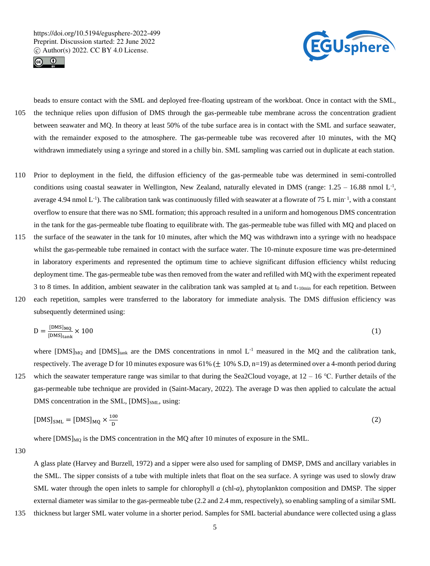



beads to ensure contact with the SML and deployed free-floating upstream of the workboat. Once in contact with the SML, 105 the technique relies upon diffusion of DMS through the gas-permeable tube membrane across the concentration gradient between seawater and MQ. In theory at least 50% of the tube surface area is in contact with the SML and surface seawater, with the remainder exposed to the atmosphere. The gas-permeable tube was recovered after 10 minutes, with the MQ withdrawn immediately using a syringe and stored in a chilly bin. SML sampling was carried out in duplicate at each station.

- 110 Prior to deployment in the field, the diffusion efficiency of the gas-permeable tube was determined in semi-controlled conditions using coastal seawater in Wellington, New Zealand, naturally elevated in DMS (range:  $1.25 - 16.88$  nmol  $L<sup>-1</sup>$ , average 4.94 nmol  $L^{-1}$ ). The calibration tank was continuously filled with seawater at a flowrate of 75 L min<sup>-1</sup>, with a constant overflow to ensure that there was no SML formation; this approach resulted in a uniform and homogenous DMS concentration in the tank for the gas-permeable tube floating to equilibrate with. The gas-permeable tube was filled with MQ and placed on
- 115 the surface of the seawater in the tank for 10 minutes, after which the MQ was withdrawn into a syringe with no headspace whilst the gas-permeable tube remained in contact with the surface water. The 10-minute exposure time was pre-determined in laboratory experiments and represented the optimum time to achieve significant diffusion efficiency whilst reducing deployment time. The gas-permeable tube was then removed from the water and refilled with MQ with the experiment repeated 3 to 8 times. In addition, ambient seawater in the calibration tank was sampled at  $t_0$  and  $t_{+10min}$  for each repetition. Between
- 120 each repetition, samples were transferred to the laboratory for immediate analysis. The DMS diffusion efficiency was subsequently determined using:

$$
D = \frac{[DMS]_{MQ}}{[DMS]_{\text{tank}}} \times 100
$$
 (1)

where  $[DMS]_{MQ}$  and  $[DMS]_{\text{tank}}$  are the DMS concentrations in nmol L<sup>-1</sup> measured in the MQ and the calibration tank, respectively. The average D for 10 minutes exposure was  $61\%$  ( $\pm$  10% S.D, n=19) as determined over a 4-month period during 125 which the seawater temperature range was similar to that during the Sea2Cloud voyage, at  $12 - 16$  °C. Further details of the gas-permeable tube technique are provided in (Saint-Macary, 2022). The average D was then applied to calculate the actual DMS concentration in the SML,  $[DMS]_{SML}$ , using:

$$
[DMS]_{SML} = [DMS]_{MQ} \times \frac{100}{D} \tag{2}
$$

where  $[DMS]_{MQ}$  is the DMS concentration in the MQ after 10 minutes of exposure in the SML.

130

A glass plate (Harvey and Burzell, 1972) and a sipper were also used for sampling of DMSP, DMS and ancillary variables in the SML. The sipper consists of a tube with multiple inlets that float on the sea surface. A syringe was used to slowly draw SML water through the open inlets to sample for chlorophyll *a* (chl-*a*), phytoplankton composition and DMSP. The sipper external diameter was similar to the gas-permeable tube (2.2 and 2.4 mm, respectively), so enabling sampling of a similar SML

135 thickness but larger SML water volume in a shorter period. Samples for SML bacterial abundance were collected using a glass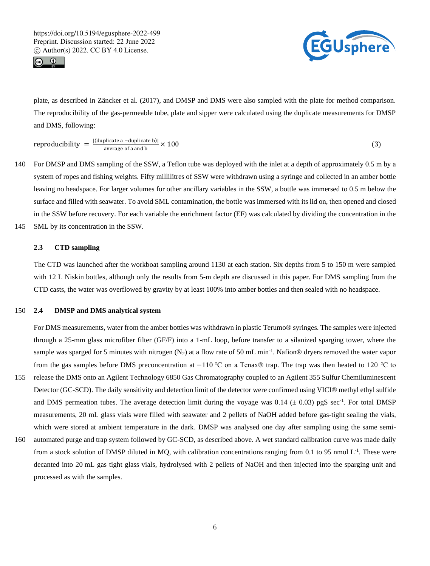



plate, as described in Zäncker et al. (2017), and DMSP and DMS were also sampled with the plate for method comparison. The reproducibility of the gas-permeable tube, plate and sipper were calculated using the duplicate measurements for DMSP and DMS, following:

reproducibility  $=$   $\frac{|(\text{duplicate a } - \text{duplicate b})|}{\text{average of a and b}}$ average of a and b  $\times$  100 (3)

- 140 For DMSP and DMS sampling of the SSW, a Teflon tube was deployed with the inlet at a depth of approximately 0.5 m by a system of ropes and fishing weights. Fifty millilitres of SSW were withdrawn using a syringe and collected in an amber bottle leaving no headspace. For larger volumes for other ancillary variables in the SSW, a bottle was immersed to 0.5 m below the surface and filled with seawater. To avoid SML contamination, the bottle was immersed with its lid on, then opened and closed in the SSW before recovery. For each variable the enrichment factor (EF) was calculated by dividing the concentration in the
- 145 SML by its concentration in the SSW.

# **2.3 CTD sampling**

The CTD was launched after the workboat sampling around 1130 at each station. Six depths from 5 to 150 m were sampled with 12 L Niskin bottles, although only the results from 5-m depth are discussed in this paper. For DMS sampling from the CTD casts, the water was overflowed by gravity by at least 100% into amber bottles and then sealed with no headspace.

# 150 **2.4 DMSP and DMS analytical system**

For DMS measurements, water from the amber bottles was withdrawn in plastic Terumo® syringes. The samples were injected through a 25-mm glass microfiber filter (GF/F) into a 1-mL loop, before transfer to a silanized sparging tower, where the sample was sparged for 5 minutes with nitrogen (N<sub>2</sub>) at a flow rate of 50 mL min<sup>-1</sup>. Nafion® dryers removed the water vapor from the gas samples before DMS preconcentration at −110 ℃ on a Tenax® trap. The trap was then heated to 120 ℃ to

- 155 release the DMS onto an Agilent Technology 6850 Gas Chromatography coupled to an Agilent 355 Sulfur Chemiluminescent Detector (GC-SCD). The daily sensitivity and detection limit of the detector were confirmed using VICI® methyl ethyl sulfide and DMS permeation tubes. The average detection limit during the voyage was  $0.14 \ (\pm 0.03)$  pgS sec<sup>-1</sup>. For total DMSP measurements, 20 mL glass vials were filled with seawater and 2 pellets of NaOH added before gas-tight sealing the vials, which were stored at ambient temperature in the dark. DMSP was analysed one day after sampling using the same semi-
- 160 automated purge and trap system followed by GC-SCD, as described above. A wet standard calibration curve was made daily from a stock solution of DMSP diluted in MQ, with calibration concentrations ranging from 0.1 to 95 nmol  $L<sup>-1</sup>$ . These were decanted into 20 mL gas tight glass vials, hydrolysed with 2 pellets of NaOH and then injected into the sparging unit and processed as with the samples.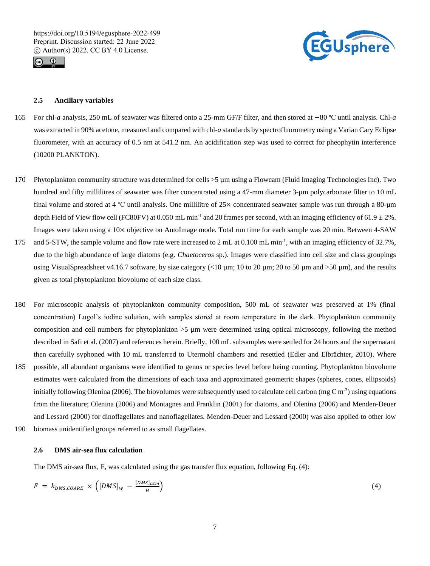



# **2.5 Ancillary variables**

- 165 For chl-*a* analysis, 250 mL of seawater was filtered onto a 25-mm GF/F filter, and then stored at −80 ⁰C until analysis. Chl-*a* was extracted in 90% acetone, measured and compared with chl-*a* standards by spectrofluorometry using a Varian Cary Eclipse fluorometer, with an accuracy of 0.5 nm at 541.2 nm. An acidification step was used to correct for pheophytin interference (10200 PLANKTON).
- 170 Phytoplankton community structure was determined for cells >5 µm using a Flowcam (Fluid Imaging Technologies Inc). Two hundred and fifty millilitres of seawater was filter concentrated using a 47-mm diameter 3-um polycarbonate filter to 10 mL final volume and stored at 4 ℃ until analysis. One millilitre of 25× concentrated seawater sample was run through a 80-µm depth Field of View flow cell (FC80FV) at 0.050 mL min<sup>-1</sup> and 20 frames per second, with an imaging efficiency of 61.9  $\pm$  2%. Images were taken using a 10× objective on AutoImage mode. Total run time for each sample was 20 min. Between 4-SAW
- 175 and 5-STW, the sample volume and flow rate were increased to 2 mL at  $0.100$  mL min<sup>-1</sup>, with an imaging efficiency of 32.7%, due to the high abundance of large diatoms (e.g. *Chaetoceros* sp.). Images were classified into cell size and class groupings using VisualSpreadsheet v4.16.7 software, by size category  $(10 \mu m; 10 \text{ to } 20 \mu m; 20 \text{ to } 50 \mu m)$  and  $>50 \mu m$ ), and the results given as total phytoplankton biovolume of each size class.
- 180 For microscopic analysis of phytoplankton community composition, 500 mL of seawater was preserved at 1% (final concentration) Lugol's iodine solution, with samples stored at room temperature in the dark. Phytoplankton community composition and cell numbers for phytoplankton >5 µm were determined using optical microscopy, following the method described in Safi et al. (2007) and references herein. Briefly, 100 mL subsamples were settled for 24 hours and the supernatant then carefully syphoned with 10 mL transferred to Utermohl chambers and resettled (Edler and Elbrächter, 2010). Where
- 185 possible, all abundant organisms were identified to genus or species level before being counting. Phytoplankton biovolume estimates were calculated from the dimensions of each taxa and approximated geometric shapes (spheres, cones, ellipsoids) initially following Olenina (2006). The biovolumes were subsequently used to calculate cell carbon (mg C  $\rm m^3$ ) using equations from the literature; Olenina (2006) and Montagnes and Franklin (2001) for diatoms, and Olenina (2006) and Menden-Deuer and Lessard (2000) for dinoflagellates and nanoflagellates. Menden-Deuer and Lessard (2000) was also applied to other low 190 biomass unidentified groups referred to as small flagellates.
- 

#### **2.6 DMS air-sea flux calculation**

The DMS air-sea flux, F, was calculated using the gas transfer flux equation, following Eq. (4):

$$
F = k_{DMS,COARE} \times \left( [DMS]_w - \frac{[DMS]_{atm}}{H} \right) \tag{4}
$$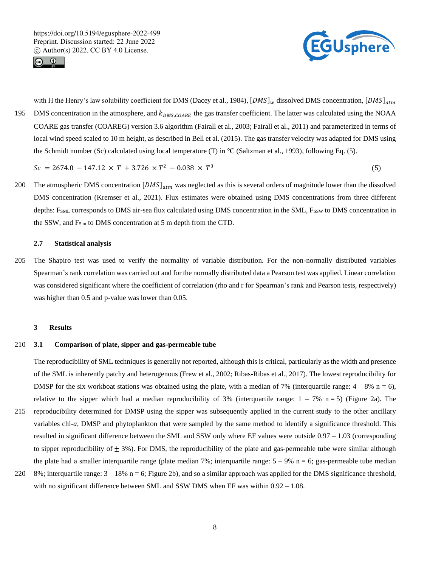



with H the Henry's law solubility coefficient for DMS (Dacey et al., 1984),  $[DNS]_w$  dissolved DMS concentration,  $[DNS]_{atm}$ 195 DMS concentration in the atmosphere, and  $k_{DMS,COARE}$  the gas transfer coefficient. The latter was calculated using the NOAA COARE gas transfer (COAREG) version 3.6 algorithm (Fairall et al., 2003; Fairall et al., 2011) and parameterized in terms of local wind speed scaled to 10 m height, as described in Bell et al. (2015). The gas transfer velocity was adapted for DMS using the Schmidt number (Sc) calculated using local temperature (T) in ℃ (Saltzman et al., 1993), following Eq. (5).

 $Sc = 2674.0 - 147.12 \times T + 3.726 \times T^2 - 0.038 \times T^3$ (5)

200 The atmospheric DMS concentration  $[DMS]_{atm}$  was neglected as this is several orders of magnitude lower than the dissolved DMS concentration (Kremser et al., 2021). Flux estimates were obtained using DMS concentrations from three different depths: F<sub>SML</sub> corresponds to DMS air-sea flux calculated using DMS concentration in the SML, F<sub>SSW</sub> to DMS concentration in the SSW, and  $F_{5m}$  to DMS concentration at 5 m depth from the CTD.

## **2.7 Statistical analysis**

205 The Shapiro test was used to verify the normality of variable distribution. For the non-normally distributed variables Spearman's rank correlation was carried out and for the normally distributed data a Pearson test was applied. Linear correlation was considered significant where the coefficient of correlation (rho and r for Spearman's rank and Pearson tests, respectively) was higher than 0.5 and p-value was lower than 0.05.

#### **3 Results**

## 210 **3.1 Comparison of plate, sipper and gas-permeable tube**

The reproducibility of SML techniques is generally not reported, although this is critical, particularly as the width and presence of the SML is inherently patchy and heterogenous (Frew et al., 2002; Ribas-Ribas et al., 2017). The lowest reproducibility for DMSP for the six workboat stations was obtained using the plate, with a median of 7% (interquartile range:  $4 - 8\%$  n = 6), relative to the sipper which had a median reproducibility of 3% (interquartile range:  $1 - 7\%$  n = 5) (Figure 2a). The 215 reproducibility determined for DMSP using the sipper was subsequently applied in the current study to the other ancillary variables chl-*a*, DMSP and phytoplankton that were sampled by the same method to identify a significance threshold. This resulted in significant difference between the SML and SSW only where EF values were outside 0.97 – 1.03 (corresponding to sipper reproducibility of  $\pm$  3%). For DMS, the reproducibility of the plate and gas-permeable tube were similar although the plate had a smaller interquartile range (plate median 7%; interquartile range:  $5 - 9%$  n = 6; gas-permeable tube median

220 8%; interquartile range:  $3 - 18$ % n = 6; Figure 2b), and so a similar approach was applied for the DMS significance threshold, with no significant difference between SML and SSW DMS when EF was within  $0.92 - 1.08$ .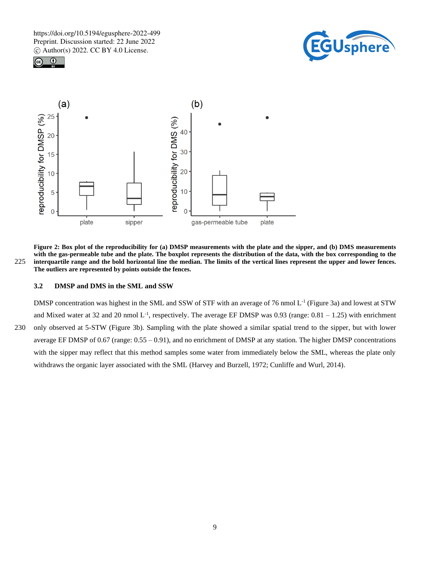





**Figure 2: Box plot of the reproducibility for (a) DMSP measurements with the plate and the sipper, and (b) DMS measurements with the gas-permeable tube and the plate. The boxplot represents the distribution of the data, with the box corresponding to the**  225 **interquartile range and the bold horizontal line the median. The limits of the vertical lines represent the upper and lower fences. The outliers are represented by points outside the fences.**

# **3.2 DMSP and DMS in the SML and SSW**

DMSP concentration was highest in the SML and SSW of STF with an average of 76 nmol L<sup>-1</sup> (Figure 3a) and lowest at STW and Mixed water at 32 and 20 nmol  $L^{-1}$ , respectively. The average EF DMSP was 0.93 (range:  $0.81 - 1.25$ ) with enrichment 230 only observed at 5-STW (Figure 3b). Sampling with the plate showed a similar spatial trend to the sipper, but with lower average EF DMSP of 0.67 (range: 0.55 – 0.91), and no enrichment of DMSP at any station. The higher DMSP concentrations with the sipper may reflect that this method samples some water from immediately below the SML, whereas the plate only withdraws the organic layer associated with the SML (Harvey and Burzell, 1972; Cunliffe and Wurl, 2014).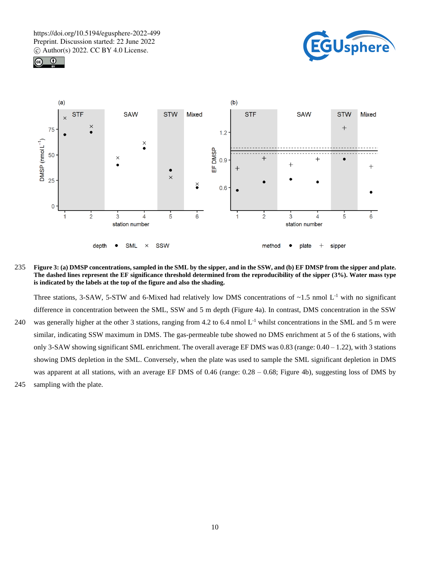





235 **Figure 3: (a) DMSP concentrations, sampled in the SML by the sipper, and in the SSW, and (b) EF DMSP from the sipper and plate. The dashed lines represent the EF significance threshold determined from the reproducibility of the sipper (3%). Water mass type is indicated by the labels at the top of the figure and also the shading.**

Three stations, 3-SAW, 5-STW and 6-Mixed had relatively low DMS concentrations of  $\sim$ 1.5 nmol L<sup>-1</sup> with no significant difference in concentration between the SML, SSW and 5 m depth (Figure 4a). In contrast, DMS concentration in the SSW 240 was generally higher at the other 3 stations, ranging from 4.2 to 6.4 nmol  $L^{-1}$  whilst concentrations in the SML and 5 m were similar, indicating SSW maximum in DMS. The gas-permeable tube showed no DMS enrichment at 5 of the 6 stations, with only 3-SAW showing significant SML enrichment. The overall average EF DMS was 0.83 (range:  $0.40 - 1.22$ ), with 3 stations showing DMS depletion in the SML. Conversely, when the plate was used to sample the SML significant depletion in DMS was apparent at all stations, with an average EF DMS of 0.46 (range: 0.28 – 0.68; Figure 4b), suggesting loss of DMS by 245 sampling with the plate.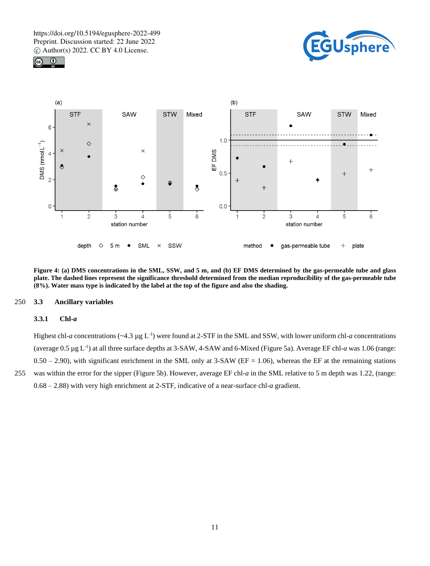





**Figure 4: (a) DMS concentrations in the SML, SSW, and 5 m, and (b) EF DMS determined by the gas-permeable tube and glass plate. The dashed lines represent the significance threshold determined from the median reproducibility of the gas-permeable tube (8%). Water mass type is indicated by the label at the top of the figure and also the shading.**

#### 250 **3.3 Ancillary variables**

## **3.3.1 Chl-***a*

Highest chl-*a* concentrations ( $\sim$ 4.3 µg L<sup>-1</sup>) were found at 2-STF in the SML and SSW, with lower uniform chl-*a* concentrations (average  $0.5 \mu g L^{-1}$ ) at all three surface depths at 3-SAW, 4-SAW and 6-Mixed (Figure 5a). Average EF chl-*a* was 1.06 (range:  $0.50 - 2.90$ , with significant enrichment in the SML only at 3-SAW (EF = 1.06), whereas the EF at the remaining stations 255 was within the error for the sipper (Figure 5b). However, average EF chl-*a* in the SML relative to 5 m depth was 1.22, (range: 0.68 – 2.88) with very high enrichment at 2-STF, indicative of a near-surface chl-*a* gradient.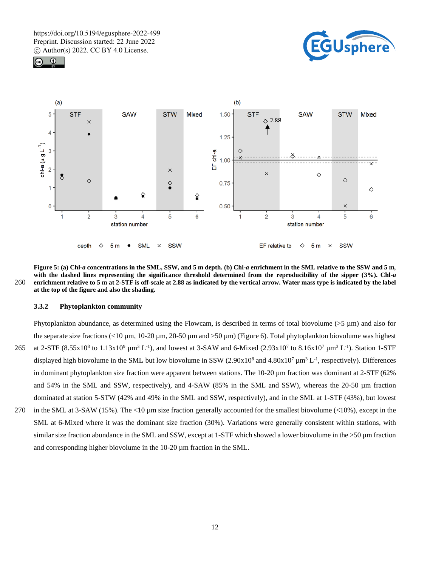





**Figure 5: (a) Chl-***a* **concentrations in the SML, SSW, and 5 m depth. (b) Chl-***a* **enrichment in the SML relative to the SSW and 5 m***,* **with the dashed lines representing the significance threshold determined from the reproducibility of the sipper (3%). Chl-***a* 260 **enrichment relative to 5 m at 2-STF is off-scale at 2.88 as indicated by the vertical arrow. Water mass type is indicated by the label at the top of the figure and also the shading.**

#### **3.3.2 Phytoplankton community**

and corresponding higher biovolume in the 10-20 µm fraction in the SML.

Phytoplankton abundance, as determined using the Flowcam, is described in terms of total biovolume  $(55 \text{ µm})$  and also for the separate size fractions  $\langle 10 \mu m, 10-20 \mu m, 20-50 \mu m$  and  $\langle 50 \mu m \rangle$  (Figure 6). Total phytoplankton biovolume was highest 265 at 2-STF (8.55x10<sup>8</sup> to 1.13x10<sup>9</sup>  $\mu$ m<sup>3</sup> L<sup>-1</sup>), and lowest at 3-SAW and 6-Mixed (2.93x10<sup>7</sup> to 8.16x10<sup>7</sup>  $\mu$ m<sup>3</sup> L<sup>-1</sup>). Station 1-STF displayed high biovolume in the SML but low biovolume in SSW  $(2.90x10^8$  and  $4.80x10^7 \mu m^3 L^{-1}$ , respectively). Differences in dominant phytoplankton size fraction were apparent between stations. The 10-20  $\mu$ m fraction was dominant at 2-STF (62%) and 54% in the SML and SSW, respectively), and 4-SAW (85% in the SML and SSW), whereas the 20-50  $\mu$ m fraction dominated at station 5-STW (42% and 49% in the SML and SSW, respectively), and in the SML at 1-STF (43%), but lowest 270 in the SML at 3-SAW (15%). The <10 µm size fraction generally accounted for the smallest biovolume (<10%), except in the SML at 6-Mixed where it was the dominant size fraction (30%). Variations were generally consistent within stations, with similar size fraction abundance in the SML and SSW, except at 1-STF which showed a lower biovolume in the >50 µm fraction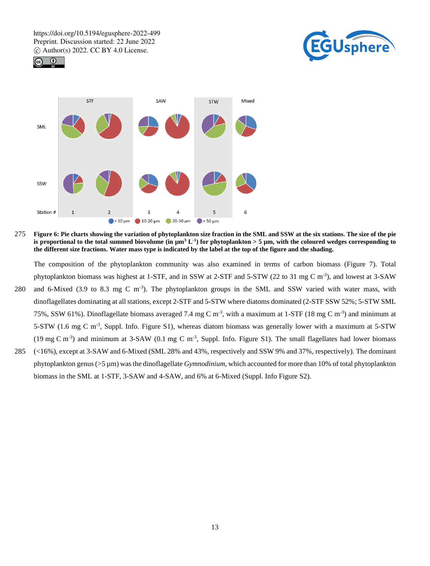





275 **Figure 6: Pie charts showing the variation of phytoplankton size fraction in the SML and SSW at the six stations. The size of the pie**  is proportional to the total summed biovolume (in  $\mu$ m<sup>3</sup> L<sup>-1</sup>) for phytoplankton > 5  $\mu$ m, with the coloured wedges corresponding to **the different size fractions. Water mass type is indicated by the label at the top of the figure and the shading.**

The composition of the phytoplankton community was also examined in terms of carbon biomass (Figure 7). Total phytoplankton biomass was highest at 1-STF, and in SSW at 2-STF and 5-STW (22 to 31 mg C m<sup>-3</sup>), and lowest at 3-SAW

- 280 and 6-Mixed (3.9 to 8.3 mg C m<sup>-3</sup>). The phytoplankton groups in the SML and SSW varied with water mass, with dinoflagellates dominating at all stations, except 2-STF and 5-STW where diatoms dominated (2-STF SSW 52%; 5-STW SML 75%, SSW 61%). Dinoflagellate biomass averaged 7.4 mg C m<sup>-3</sup>, with a maximum at 1-STF (18 mg C m<sup>-3</sup>) and minimum at 5-STW (1.6 mg C m<sup>-3</sup>, Suppl. Info. Figure S1), whereas diatom biomass was generally lower with a maximum at 5-STW  $(19 \text{ mg C m}^3)$  and minimum at 3-SAW  $(0.1 \text{ mg C m}^3)$ . Suppl. Info. Figure S1). The small flagellates had lower biomass
- 285 (<16%), except at 3-SAW and 6-Mixed (SML 28% and 43%, respectively and SSW 9% and 37%, respectively). The dominant phytoplankton genus (>5 µm) was the dinoflagellate *Gymnodinium*, which accounted for more than 10% of total phytoplankton biomass in the SML at 1-STF, 3-SAW and 4-SAW, and 6% at 6-Mixed (Suppl. Info Figure S2).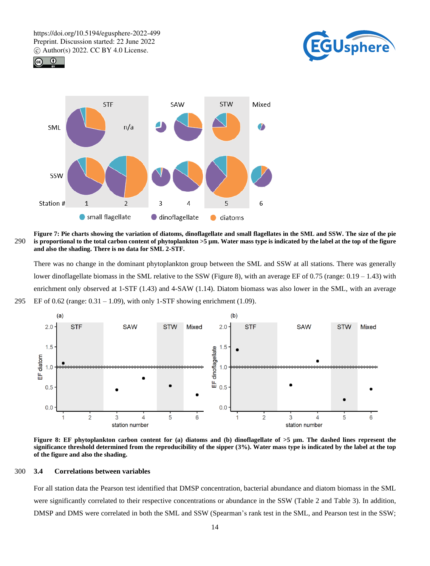





**Figure 7: Pie charts showing the variation of diatoms, dinoflagellate and small flagellates in the SML and SSW. The size of the pie**  290 **is proportional to the total carbon content of phytoplankton >5 µm. Water mass type is indicated by the label at the top of the figure and also the shading. There is no data for SML 2-STF.**

There was no change in the dominant phytoplankton group between the SML and SSW at all stations. There was generally lower dinoflagellate biomass in the SML relative to the SSW (Figure 8), with an average EF of  $0.75$  (range:  $0.19 - 1.43$ ) with enrichment only observed at 1-STF (1.43) and 4-SAW (1.14). Diatom biomass was also lower in the SML, with an average 295 EF of 0.62 (range:  $0.31 - 1.09$ ), with only 1-STF showing enrichment (1.09).



**Figure 8: EF phytoplankton carbon content for (a) diatoms and (b) dinoflagellate of >5 µm. The dashed lines represent the significance threshold determined from the reproducibility of the sipper (3%). Water mass type is indicated by the label at the top of the figure and also the shading.**

#### 300 **3.4 Correlations between variables**

For all station data the Pearson test identified that DMSP concentration, bacterial abundance and diatom biomass in the SML were significantly correlated to their respective concentrations or abundance in the SSW (Table 2 and Table 3). In addition, DMSP and DMS were correlated in both the SML and SSW (Spearman's rank test in the SML, and Pearson test in the SSW;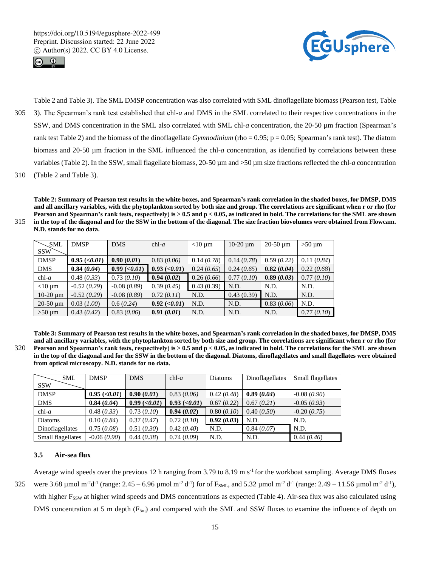



Table 2 and Table 3). The SML DMSP concentration was also correlated with SML dinoflagellate biomass (Pearson test, Table 305 3). The Spearman's rank test established that chl-*a* and DMS in the SML correlated to their respective concentrations in the SSW, and DMS concentration in the SML also correlated with SML chl-*a* concentration, the 20-50 µm fraction (Spearman's rank test Table 2) and the biomass of the dinoflagellate *Gymnodinium* (rho = 0.95; p = 0.05; Spearman's rank test). The diatom biomass and 20-50 µm fraction in the SML influenced the chl-*a* concentration, as identified by correlations between these variables (Table 2). In the SSW, small flagellate biomass, 20-50 µm and >50 µm size fractions reflected the chl-*a* concentration 310 (Table 2 and Table 3).

**Table 2: Summary of Pearson test results in the white boxes, and Spearman's rank correlation in the shaded boxes, for DMSP, DMS and all ancillary variables, with the phytoplankton sorted by both size and group. The correlations are significant when r or rho (for Pearson and Spearman's rank tests, respectively) is > 0.5 and p < 0.05, as indicated in bold. The correlations for the SML are shown** 

315 **in the top of the diagonal and for the SSW in the bottom of the diagonal. The size fraction biovolumes were obtained from Flowcam. N.D. stands for no data.**

| <b>SML</b>    | <b>DMSP</b>      | <b>DMS</b>              | $chl-a$                          | $<$ 10 µm  | $10-20 \mu m$ | $20-50 \mu m$ | $>50 \mu m$ |
|---------------|------------------|-------------------------|----------------------------------|------------|---------------|---------------|-------------|
| <b>SSW</b>    |                  |                         |                                  |            |               |               |             |
| <b>DMSP</b>   | $0.95 \; (0.01)$ | 0.90(0.01)              | 0.83(0.06)                       | 0.14(0.78) | 0.14(0.78)    | 0.59(0.22)    | 0.11(0.84)  |
| <b>DMS</b>    | 0.84(0.04)       | $0.99 \, \text{(0.01)}$ | $0.93 \, \text{(} <0.01\text{)}$ | 0.24(0.65) | 0.24(0.65)    | 0.82(0.04)    | 0.22(0.68)  |
| $chl-a$       | 0.48(0.33)       | 0.73(0.10)              | 0.94(0.02)                       | 0.26(0.66) | 0.77(0.10)    | 0.89(0.03)    | 0.77(0.10)  |
| $<$ 10 µm     | $-0.52(0.29)$    | $-0.08(0.89)$           | 0.39(0.45)                       | 0.43(0.39) | N.D.          | N.D.          | N.D.        |
| $10-20 \mu m$ | $-0.52(0.29)$    | $-0.08(0.89)$           | 0.72(0.11)                       | N.D.       | 0.43(0.39)    | N.D.          | N.D.        |
| $20-50 \mu m$ | 0.03(1.00)       | 0.6(0.24)               | $0.92 \, \text{(} <0.01\text{)}$ | N.D.       | N.D.          | 0.83(0.06)    | N.D.        |
| $>50 \mu m$   | 0.43(0.42)       | 0.83(0.06)              | 0.91(0.01)                       | N.D.       | N.D.          | N.D.          | 0.77(0.10)  |

**Table 3: Summary of Pearson test results in the white boxes, and Spearman's rank correlation in the shaded boxes, for DMSP, DMS and all ancillary variables, with the phytoplankton sorted by both size and group. The correlations are significant when r or rho (for**  320 **Pearson and Spearman's rank tests, respectively) is > 0.5 and p < 0.05, as indicated in bold. The correlations for the SML are shown in the top of the diagonal and for the SSW in the bottom of the diagonal. Diatoms, dinoflagellates and small flagellates were obtained from optical microscopy. N.D. stands for no data.**

| <b>SML</b>        | <b>DMSP</b>                | <b>DMS</b>                   | $chl-a$                    | Diatoms    | Dinoflagellates | Small flagellates |
|-------------------|----------------------------|------------------------------|----------------------------|------------|-----------------|-------------------|
| <b>SSW</b>        |                            |                              |                            |            |                 |                   |
| <b>DMSP</b>       | $0.95 \; (\textless 0.01)$ | 0.90(0.01)                   | 0.83(0.06)                 | 0.42(0.48) | 0.89(0.04)      | $-0.08(0.90)$     |
| <b>DMS</b>        | 0.84(0.04)                 | $0.99 \, (\textless } 0.01)$ | $0.93 \; (\textless 0.01)$ | 0.67(0.22) | 0.67(0.21)      | $-0.05(0.93)$     |
| $chl-a$           | 0.48(0.33)                 | 0.73(0.10)                   | 0.94(0.02)                 | 0.80(0.10) | 0.40(0.50)      | $-0.20(0.75)$     |
| Diatoms           | 0.10(0.84)                 | 0.37(0.47)                   | 0.72(0.10)                 | 0.92(0.03) | N.D.            | N.D.              |
| Dinoflagellates   | 0.75(0.08)                 | 0.51(0.30)                   | 0.42(0.40)                 | N.D.       | 0.84(0.07)      | N.D.              |
| Small flagellates | $-0.06(0.90)$              | 0.44(0.38)                   | 0.74(0.09)                 | N.D.       | N.D.            | 0.44(0.46)        |

# **3.5 Air-sea flux**

Average wind speeds over the previous 12 h ranging from 3.79 to 8.19 m s<sup>-1</sup> for the workboat sampling. Average DMS fluxes 325 were 3.68 µmol m<sup>-2</sup>d<sup>-1</sup> (range: 2.45 – 6.96 µmol m<sup>-2</sup> d<sup>-1</sup>) for of F<sub>SML</sub>, and 5.32 µmol m<sup>-2</sup> d<sup>-1</sup> (range: 2.49 – 11.56 µmol m<sup>-2</sup> d<sup>-1</sup>), with higher Fssw at higher wind speeds and DMS concentrations as expected (Table 4). Air-sea flux was also calculated using DMS concentration at 5 m depth  $(F_{5m})$  and compared with the SML and SSW fluxes to examine the influence of depth on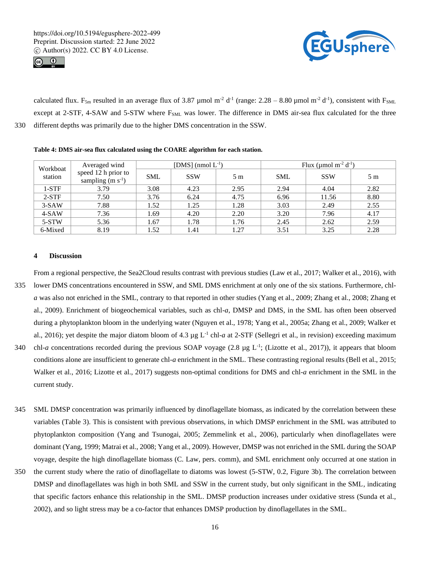



calculated flux.  $F_{5m}$  resulted in an average flux of 3.87 µmol m<sup>-2</sup> d<sup>-1</sup> (range: 2.28 – 8.80 µmol m<sup>-2</sup> d<sup>-1</sup>), consistent with  $F_{SML}$ except at 2-STF, 4-SAW and 5-STW where F<sub>SML</sub> was lower. The difference in DMS air-sea flux calculated for the three 330 different depths was primarily due to the higher DMS concentration in the SSW.

#### **Table 4: DMS air-sea flux calculated using the COARE algorithm for each station.**

| Workboat<br>station | Averaged wind                             | [DMS] (nmol $L^{-1}$ ) |            |                | Flux (µmol m <sup>-2</sup> $d^{-1}$ ) |            |                |
|---------------------|-------------------------------------------|------------------------|------------|----------------|---------------------------------------|------------|----------------|
|                     | speed 12 h prior to<br>sampling $(m s-1)$ | <b>SML</b>             | <b>SSW</b> | 5 <sub>m</sub> | <b>SML</b>                            | <b>SSW</b> | 5 <sub>m</sub> |
| $1-STF$             | 3.79                                      | 3.08                   | 4.23       | 2.95           | 2.94                                  | 4.04       | 2.82           |
| $2-STF$             | 7.50                                      | 3.76                   | 6.24       | 4.75           | 6.96                                  | 11.56      | 8.80           |
| $3-SAW$             | 7.88                                      | 1.52                   | 1.25       | 1.28           | 3.03                                  | 2.49       | 2.55           |
| $4-SAW$             | 7.36                                      | 1.69                   | 4.20       | 2.20           | 3.20                                  | 7.96       | 4.17           |
| 5-STW               | 5.36                                      | 1.67                   | 1.78       | 1.76           | 2.45                                  | 2.62       | 2.59           |
| 6-Mixed             | 8.19                                      | 1.52                   | 1.41       | 1.27           | 3.51                                  | 3.25       | 2.28           |

#### **4 Discussion**

From a regional perspective, the Sea2Cloud results contrast with previous studies (Law et al., 2017; Walker et al., 2016), with 335 lower DMS concentrations encountered in SSW, and SML DMS enrichment at only one of the six stations. Furthermore, chl*a* was also not enriched in the SML, contrary to that reported in other studies (Yang et al., 2009; Zhang et al., 2008; Zhang et al., 2009). Enrichment of biogeochemical variables, such as chl-*a*, DMSP and DMS, in the SML has often been observed during a phytoplankton bloom in the underlying water (Nguyen et al., 1978; Yang et al., 2005a; Zhang et al., 2009; Walker et al., 2016); yet despite the major diatom bloom of 4.3  $\mu$ g L<sup>-1</sup> chl-*a* at 2-STF (Sellegri et al., in revision) exceeding maximum

- 340 chl-*a* concentrations recorded during the previous SOAP voyage (2.8 µg L<sup>-1</sup>; (Lizotte et al., 2017)), it appears that bloom conditions alone are insufficient to generate chl-*a* enrichment in the SML. These contrasting regional results (Bell et al., 2015; Walker et al., 2016; Lizotte et al., 2017) suggests non-optimal conditions for DMS and chl-*a* enrichment in the SML in the current study.
- 345 SML DMSP concentration was primarily influenced by dinoflagellate biomass, as indicated by the correlation between these variables (Table 3). This is consistent with previous observations, in which DMSP enrichment in the SML was attributed to phytoplankton composition (Yang and Tsunogai, 2005; Zemmelink et al., 2006), particularly when dinoflagellates were dominant (Yang, 1999; Matrai et al., 2008; Yang et al., 2009). However, DMSP was not enriched in the SML during the SOAP voyage, despite the high dinoflagellate biomass (C. Law, pers. comm), and SML enrichment only occurred at one station in
- 350 the current study where the ratio of dinoflagellate to diatoms was lowest (5-STW, 0.2, Figure 3b). The correlation between DMSP and dinoflagellates was high in both SML and SSW in the current study, but only significant in the SML, indicating that specific factors enhance this relationship in the SML. DMSP production increases under oxidative stress (Sunda et al., 2002), and so light stress may be a co-factor that enhances DMSP production by dinoflagellates in the SML.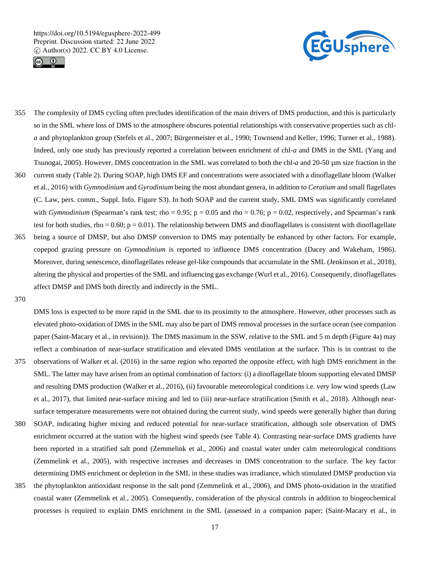



- 355 The complexity of DMS cycling often precludes identification of the main drivers of DMS production, and this is particularly so in the SML where loss of DMS to the atmosphere obscures potential relationships with conservative properties such as chl*a* and phytoplankton group (Stefels et al., 2007; Bürgermeister et al., 1990; Townsend and Keller, 1996; Turner et al., 1988). Indeed, only one study has previously reported a correlation between enrichment of chl-*a* and DMS in the SML (Yang and Tsunogai, 2005). However, DMS concentration in the SML was correlated to both the chl-*a* and 20-50 µm size fraction in the
- 360 current study (Table 2). During SOAP, high DMS EF and concentrations were associated with a dinoflagellate bloom (Walker et al., 2016) with *Gymnodinium* and *Gyrodinium* being the most abundant genera, in addition to *Ceratium* and small flagellates (C. Law, pers. comm., Suppl. Info. Figure S3). In both SOAP and the current study, SML DMS was significantly correlated with *Gymnodinium* (Spearman's rank test; rho =  $0.95$ ; p =  $0.05$  and rho =  $0.76$ ; p =  $0.02$ , respectively, and Spearman's rank test for both studies, rho =  $0.60$ ; p =  $0.01$ ). The relationship between DMS and dinoflagellates is consistent with dinoflagellate 365 being a source of DMSP, but also DMSP conversion to DMS may potentially be enhanced by other factors. For example,
- copepod grazing pressure on *Gymnodinium* is reported to influence DMS concentration (Dacey and Wakeham, 1986). Moreover, during senescence, dinoflagellates release gel-like compounds that accumulate in the SML (Jenkinson et al., 2018), altering the physical and properties of the SML and influencing gas exchange (Wurl et al., 2016). Consequently, dinoflagellates affect DMSP and DMS both directly and indirectly in the SML.

370

DMS loss is expected to be more rapid in the SML due to its proximity to the atmosphere. However, other processes such as elevated photo-oxidation of DMS in the SML may also be part of DMS removal processes in the surface ocean (see companion paper (Saint-Macary et al., in revision)). The DMS maximum in the SSW, relative to the SML and 5 m depth (Figure 4a) may reflect a combination of near-surface stratification and elevated DMS ventilation at the surface. This is in contrast to the 375 observations of Walker et al. (2016) in the same region who reported the opposite effect, with high DMS enrichment in the SML. The latter may have arisen from an optimal combination of factors: (i) a dinoflagellate bloom supporting elevated DMSP

- and resulting DMS production (Walker et al., 2016), (ii) favourable meteorological conditions i.e. very low wind speeds (Law et al., 2017), that limited near-surface mixing and led to (iii) near-surface stratification (Smith et al., 2018). Although nearsurface temperature measurements were not obtained during the current study, wind speeds were generally higher than during
- 380 SOAP, indicating higher mixing and reduced potential for near-surface stratification, although sole observation of DMS enrichment occurred at the station with the highest wind speeds (see Table 4). Contrasting near-surface DMS gradients have been reported in a stratified salt pond (Zemmelink et al., 2006) and coastal water under calm meteorological conditions (Zemmelink et al., 2005), with respective increases and decreases in DMS concentration to the surface. The key factor determining DMS enrichment or depletion in the SML in these studies was irradiance, which stimulated DMSP production via
- 385 the phytoplankton antioxidant response in the salt pond (Zemmelink et al., 2006), and DMS photo-oxidation in the stratified coastal water (Zemmelink et al., 2005). Consequently, consideration of the physical controls in addition to biogeochemical processes is required to explain DMS enrichment in the SML (assessed in a companion paper; (Saint-Macary et al., in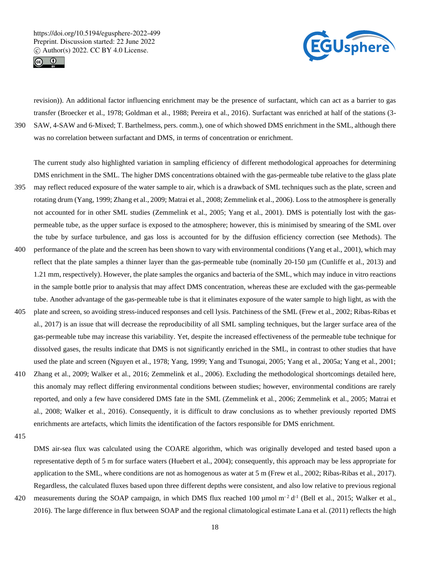



revision)). An additional factor influencing enrichment may be the presence of surfactant, which can act as a barrier to gas transfer (Broecker et al., 1978; Goldman et al., 1988; Pereira et al., 2016). Surfactant was enriched at half of the stations (3- 390 SAW, 4-SAW and 6-Mixed; T. Barthelmess, pers. comm.), one of which showed DMS enrichment in the SML, although there was no correlation between surfactant and DMS, in terms of concentration or enrichment.

The current study also highlighted variation in sampling efficiency of different methodological approaches for determining DMS enrichment in the SML. The higher DMS concentrations obtained with the gas-permeable tube relative to the glass plate 395 may reflect reduced exposure of the water sample to air, which is a drawback of SML techniques such as the plate, screen and rotating drum (Yang, 1999; Zhang et al., 2009; Matrai et al., 2008; Zemmelink et al., 2006). Loss to the atmosphere is generally not accounted for in other SML studies (Zemmelink et al., 2005; Yang et al., 2001). DMS is potentially lost with the gaspermeable tube, as the upper surface is exposed to the atmosphere; however, this is minimised by smearing of the SML over the tube by surface turbulence, and gas loss is accounted for by the diffusion efficiency correction (see Methods). The 400 performance of the plate and the screen has been shown to vary with environmental conditions (Yang et al., 2001), which may reflect that the plate samples a thinner layer than the gas-permeable tube (nominally  $20-150 \mu m$  (Cunliffe et al., 2013) and 1.21 mm, respectively). However, the plate samples the organics and bacteria of the SML, which may induce in vitro reactions in the sample bottle prior to analysis that may affect DMS concentration, whereas these are excluded with the gas-permeable tube. Another advantage of the gas-permeable tube is that it eliminates exposure of the water sample to high light, as with the 405 plate and screen, so avoiding stress-induced responses and cell lysis. Patchiness of the SML (Frew et al., 2002; Ribas-Ribas et

- al., 2017) is an issue that will decrease the reproducibility of all SML sampling techniques, but the larger surface area of the gas-permeable tube may increase this variability. Yet, despite the increased effectiveness of the permeable tube technique for dissolved gases, the results indicate that DMS is not significantly enriched in the SML, in contrast to other studies that have used the plate and screen (Nguyen et al., 1978; Yang, 1999; Yang and Tsunogai, 2005; Yang et al., 2005a; Yang et al., 2001;
- 410 Zhang et al., 2009; Walker et al., 2016; Zemmelink et al., 2006). Excluding the methodological shortcomings detailed here, this anomaly may reflect differing environmental conditions between studies; however, environmental conditions are rarely reported, and only a few have considered DMS fate in the SML (Zemmelink et al., 2006; Zemmelink et al., 2005; Matrai et al., 2008; Walker et al., 2016). Consequently, it is difficult to draw conclusions as to whether previously reported DMS enrichments are artefacts, which limits the identification of the factors responsible for DMS enrichment.

415

DMS air-sea flux was calculated using the COARE algorithm, which was originally developed and tested based upon a representative depth of 5 m for surface waters (Huebert et al., 2004); consequently, this approach may be less appropriate for application to the SML, where conditions are not as homogenous as water at 5 m (Frew et al., 2002; Ribas-Ribas et al., 2017). Regardless, the calculated fluxes based upon three different depths were consistent, and also low relative to previous regional

420 measurements during the SOAP campaign, in which DMS flux reached 100  $\mu$ mol m<sup>-2</sup> d<sup>-1</sup> (Bell et al., 2015; Walker et al., 2016). The large difference in flux between SOAP and the regional climatological estimate Lana et al. (2011) reflects the high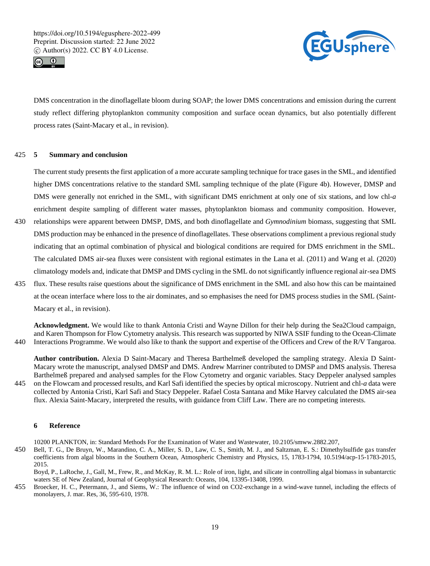



DMS concentration in the dinoflagellate bloom during SOAP; the lower DMS concentrations and emission during the current study reflect differing phytoplankton community composition and surface ocean dynamics, but also potentially different process rates (Saint-Macary et al., in revision).

# 425 **5 Summary and conclusion**

The current study presents the first application of a more accurate sampling technique for trace gases in the SML, and identified higher DMS concentrations relative to the standard SML sampling technique of the plate (Figure 4b). However, DMSP and DMS were generally not enriched in the SML, with significant DMS enrichment at only one of six stations, and low chl-*a* enrichment despite sampling of different water masses, phytoplankton biomass and community composition. However,

- 430 relationships were apparent between DMSP, DMS, and both dinoflagellate and *Gymnodinium* biomass, suggesting that SML DMS production may be enhanced in the presence of dinoflagellates. These observations compliment a previous regional study indicating that an optimal combination of physical and biological conditions are required for DMS enrichment in the SML. The calculated DMS air-sea fluxes were consistent with regional estimates in the Lana et al. (2011) and Wang et al. (2020) climatology models and, indicate that DMSP and DMS cycling in the SML do not significantly influence regional air-sea DMS
- 435 flux. These results raise questions about the significance of DMS enrichment in the SML and also how this can be maintained at the ocean interface where loss to the air dominates, and so emphasises the need for DMS process studies in the SML (Saint-Macary et al., in revision).

**Acknowledgment.** We would like to thank Antonia Cristi and Wayne Dillon for their help during the Sea2Cloud campaign, and Karen Thompson for Flow Cytometry analysis. This research was supported by NIWA SSIF funding to the Ocean-Climate 440 Interactions Programme. We would also like to thank the support and expertise of the Officers and Crew of the R/V Tangaroa.

**Author contribution.** Alexia D Saint-Macary and Theresa Barthelmeß developed the sampling strategy. Alexia D Saint-Macary wrote the manuscript, analysed DMSP and DMS. Andrew Marriner contributed to DMSP and DMS analysis. Theresa Barthelmeß prepared and analysed samples for the Flow Cytometry and organic variables. Stacy Deppeler analysed samples

445 on the Flowcam and processed results, and Karl Safi identified the species by optical microscopy. Nutrient and chl-*a* data were collected by Antonia Cristi, Karl Safi and Stacy Deppeler. Rafael Costa Santana and Mike Harvey calculated the DMS air-sea flux. Alexia Saint-Macary, interpreted the results, with guidance from Cliff Law. There are no competing interests.

## **6 Reference**

10200 PLANKTON, in: Standard Methods For the Examination of Water and Wastewater, 10.2105/smww.2882.207,

450 Bell, T. G., De Bruyn, W., Marandino, C. A., Miller, S. D., Law, C. S., Smith, M. J., and Saltzman, E. S.: Dimethylsulfide gas transfer coefficients from algal blooms in the Southern Ocean, Atmospheric Chemistry and Physics, 15, 1783-1794, 10.5194/acp-15-1783-2015, 2015.

Boyd, P., LaRoche, J., Gall, M., Frew, R., and McKay, R. M. L.: Role of iron, light, and silicate in controlling algal biomass in subantarctic waters SE of New Zealand, Journal of Geophysical Research: Oceans, 104, 13395-13408, 1999.

455 Broecker, H. C., Petermann, J., and Siems, W.: The influence of wind on CO2-exchange in a wind-wave tunnel, including the effects of monolayers, J. mar. Res, 36, 595-610, 1978.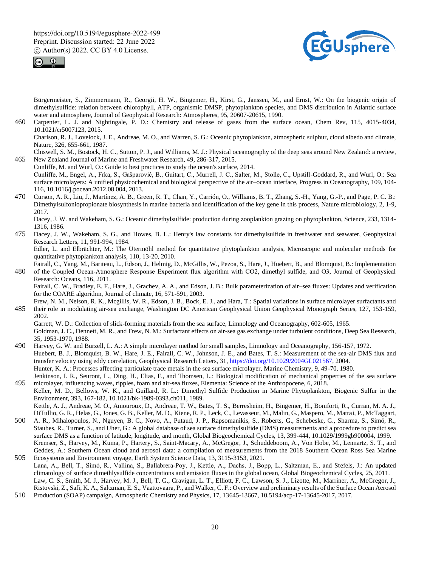



Bürgermeister, S., Zimmermann, R., Georgii, H. W., Bingemer, H., Kirst, G., Janssen, M., and Ernst, W.: On the biogenic origin of dimethylsulfide: relation between chlorophyll, ATP, organismic DMSP, phytoplankton species, and DMS distribution in Atlantic surface water and atmosphere, Journal of Geophysical Research: Atmospheres, 95, 20607-20615, 1990.

460 Carpenter, L. J. and Nightingale, P. D.: Chemistry and release of gases from the surface ocean, Chem Rev, 115, 4015-4034, 10.1021/cr5007123, 2015.

Charlson, R. J., Lovelock, J. E., Andreae, M. O., and Warren, S. G.: Oceanic phytoplankton, atmospheric sulphur, cloud albedo and climate, Nature, 326, 655-661, 1987.

Chiswell, S. M., Bostock, H. C., Sutton, P. J., and Williams, M. J.: Physical oceanography of the deep seas around New Zealand: a review, 465 New Zealand Journal of Marine and Freshwater Research, 49, 286-317, 2015.

- Cunliffe, M. and Wurl, O.: Guide to best practices to study the ocean's surface, 2014. Cunliffe, M., Engel, A., Frka, S., Gašparović, B., Guitart, C., Murrell, J. C., Salter, M., Stolle, C., Upstill-Goddard, R., and Wurl, O.: Sea surface microlayers: A unified physicochemical and biological perspective of the air–ocean interface, Progress in Oceanography, 109, 104- 116, 10.1016/j.pocean.2012.08.004, 2013.
- 470 Curson, A. R., Liu, J., Martínez, A. B., Green, R. T., Chan, Y., Carrión, O., Williams, B. T., Zhang, S.-H., Yang, G.-P., and Page, P. C. B.: Dimethylsulfoniopropionate biosynthesis in marine bacteria and identification of the key gene in this process, Nature microbiology, 2, 1-9, 2017.

Dacey, J. W. and Wakeham, S. G.: Oceanic dimethylsulfide: production during zooplankton grazing on phytoplankton, Science, 233, 1314- 1316, 1986.

475 Dacey, J. W., Wakeham, S. G., and Howes, B. L.: Henry's law constants for dimethylsulfide in freshwater and seawater, Geophysical Research Letters, 11, 991-994, 1984.

Edler, L. and Elbrächter, M.: The Utermöhl method for quantitative phytoplankton analysis, Microscopic and molecular methods for quantitative phytoplankton analysis, 110, 13-20, 2010.

Fairall, C., Yang, M., Bariteau, L., Edson, J., Helmig, D., McGillis, W., Pezoa, S., Hare, J., Huebert, B., and Blomquist, B.: Implementation 480 of the Coupled Ocean‐Atmosphere Response Experiment flux algorithm with CO2, dimethyl sulfide, and O3, Journal of Geophysical Research: Oceans, 116, 2011.

Fairall, C. W., Bradley, E. F., Hare, J., Grachev, A. A., and Edson, J. B.: Bulk parameterization of air–sea fluxes: Updates and verification for the COARE algorithm, Journal of climate, 16, 571-591, 2003.

Frew, N. M., Nelson, R. K., Mcgillis, W. R., Edson, J. B., Bock, E. J., and Hara, T.: Spatial variations in surface microlayer surfactants and 485 their role in modulating air-sea exchange, Washington DC American Geophysical Union Geophysical Monograph Series, 127, 153-159, 2002.

Garrett, W. D.: Collection of slick-forming materials from the sea surface, Limnology and Oceanography, 602-605, 1965. Goldman, J. C., Dennett, M. R., and Frew, N. M.: Surfactant effects on air-sea gas exchange under turbulent conditions, Deep Sea Research, 35, 1953-1970, 1988.

- 490 Harvey, G. W. and Burzell, L. A.: A simple microlayer method for small samples, Limnology and Oceanography, 156-157, 1972. Huebert, B. J., Blomquist, B. W., Hare, J. E., Fairall, C. W., Johnson, J. E., and Bates, T. S.: Measurement of the sea-air DMS flux and transfer velocity using eddy correlation, Geophysical Research Letters, 31, https://doi.org/10.1029/2004GL021567, 2004. Hunter, K. A.: Processes affecting particulate trace metals in the sea surface microlayer, Marine Chemistry, 9, 49-70, 1980. Jenkinson, I. R., Seuront, L., Ding, H., Elias, F., and Thomsen, L.: Biological modification of mechanical properties of the sea surface
- 495 microlayer, influencing waves, ripples, foam and air-sea fluxes, Elementa: Science of the Anthropocene, 6, 2018. Keller, M. D., Bellows, W. K., and Guillard, R. L.: Dimethyl Sulfide Production in Marine Phytoplankton, Biogenic Sulfur in the Environment, 393, 167-182, 10.1021/bk-1989-0393.ch011, 1989.

Kettle, A. J., Andreae, M. O., Amouroux, D., Andreae, T. W., Bates, T. S., Berresheim, H., Bingemer, H., Boniforti, R., Curran, M. A. J., DiTullio, G. R., Helas, G., Jones, G. B., Keller, M. D., Kiene, R. P., Leck, C., Levasseur, M., Malin, G., Maspero, M., Matrai, P., McTaggart,

- 500 A. R., Mihalopoulos, N., Nguyen, B. C., Novo, A., Putaud, J. P., Rapsomanikis, S., Roberts, G., Schebeske, G., Sharma, S., Simó, R., Staubes, R., Turner, S., and Uher, G.: A global database of sea surface dimethylsulfide (DMS) measurements and a procedure to predict sea surface DMS as a function of latitude, longitude, and month, Global Biogeochemical Cycles, 13, 399-444, 10.1029/1999gb900004, 1999. Kremser, S., Harvey, M., Kuma, P., Hartery, S., Saint-Macary, A., McGregor, J., Schuddeboom, A., Von Hobe, M., Lennartz, S. T., and Geddes, A.: Southern Ocean cloud and aerosol data: a compilation of measurements from the 2018 Southern Ocean Ross Sea Marine
- 505 Ecosystems and Environment voyage, Earth System Science Data, 13, 3115-3153, 2021. Lana, A., Bell, T., Simó, R., Vallina, S., Ballabrera‐Poy, J., Kettle, A., Dachs, J., Bopp, L., Saltzman, E., and Stefels, J.: An updated climatology of surface dimethlysulfide concentrations and emission fluxes in the global ocean, Global Biogeochemical Cycles, 25, 2011. Law, C. S., Smith, M. J., Harvey, M. J., Bell, T. G., Cravigan, L. T., Elliott, F. C., Lawson, S. J., Lizotte, M., Marriner, A., McGregor, J., Ristovski, Z., Safi, K. A., Saltzman, E. S., Vaattovaara, P., and Walker, C. F.: Overview and preliminary results of the Surface Ocean Aerosol
- 510 Production (SOAP) campaign, Atmospheric Chemistry and Physics, 17, 13645-13667, 10.5194/acp-17-13645-2017, 2017.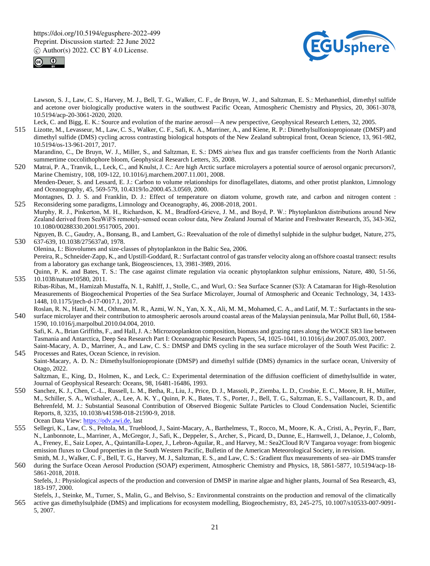



Lawson, S. J., Law, C. S., Harvey, M. J., Bell, T. G., Walker, C. F., de Bruyn, W. J., and Saltzman, E. S.: Methanethiol, dimethyl sulfide and acetone over biologically productive waters in the southwest Pacific Ocean, Atmospheric Chemistry and Physics, 20, 3061-3078, 10.5194/acp-20-3061-2020, 2020.

Leck, C. and Bigg, E. K.: Source and evolution of the marine aerosol—A new perspective, Geophysical Research Letters, 32, 2005.

515 Lizotte, M., Levasseur, M., Law, C. S., Walker, C. F., Safi, K. A., Marriner, A., and Kiene, R. P.: Dimethylsulfoniopropionate (DMSP) and dimethyl sulfide (DMS) cycling across contrasting biological hotspots of the New Zealand subtropical front, Ocean Science, 13, 961-982, 10.5194/os-13-961-2017, 2017.

Marandino, C., De Bruyn, W. J., Miller, S., and Saltzman, E. S.: DMS air/sea flux and gas transfer coefficients from the North Atlantic summertime coccolithophore bloom, Geophysical Research Letters, 35, 2008.

520 Matrai, P. A., Tranvik, L., Leck, C., and Knulst, J. C.: Are high Arctic surface microlayers a potential source of aerosol organic precursors?, Marine Chemistry, 108, 109-122, 10.1016/j.marchem.2007.11.001, 2008. Menden-Deuer, S. and Lessard, E. J.: Carbon to volume relationships for dinoflagellates, diatoms, and other protist plankton, Limnology and Oceanography, 45, 569-579, 10.4319/lo.2000.45.3.0569, 2000.

Montagnes, D. J. S. and Franklin, D. J.: Effect of temperature on diatom volume, growth rate, and carbon and nitrogen content : 525 Reconsidering some paradigms, Limnology and Oceanography, 46, 2008-2018, 2001.

- Murphy, R. J., Pinkerton, M. H., Richardson, K. M., Bradford‐Grieve, J. M., and Boyd, P. W.: Phytoplankton distributions around New Zealand derived from SeaWiFS remotely‐sensed ocean colour data, New Zealand Journal of Marine and Freshwater Research, 35, 343-362, 10.1080/00288330.2001.9517005, 2001.
- Nguyen, B. C., Gaudry, A., Bonsang, B., and Lambert, G.: Reevaluation of the role of dimethyl sulphide in the sulphur budget, Nature, 275, 530 637-639, 10.1038/275637a0, 1978.

Olenina, I.: Biovolumes and size-classes of phytoplankton in the Baltic Sea, 2006. Pereira, R., Schneider-Zapp, K., and Upstill-Goddard, R.: Surfactant control of gas transfer velocity along an offshore coastal transect: results from a laboratory gas exchange tank, Biogeosciences, 13, 3981-3989, 2016.

- Quinn, P. K. and Bates, T. S.: The case against climate regulation via oceanic phytoplankton sulphur emissions, Nature, 480, 51-56, 535 10.1038/nature10580, 2011.
- Ribas-Ribas, M., Hamizah Mustaffa, N. I., Rahlff, J., Stolle, C., and Wurl, O.: Sea Surface Scanner (S3): A Catamaran for High-Resolution Measurements of Biogeochemical Properties of the Sea Surface Microlayer, Journal of Atmospheric and Oceanic Technology, 34, 1433- 1448, 10.1175/jtech-d-17-0017.1, 2017.
- Roslan, R. N., Hanif, N. M., Othman, M. R., Azmi, W. N., Yan, X. X., Ali, M. M., Mohamed, C. A., and Latif, M. T.: Surfactants in the sea-540 surface microlayer and their contribution to atmospheric aerosols around coastal areas of the Malaysian peninsula, Mar Pollut Bull, 60, 1584- 1590, 10.1016/j.marpolbul.2010.04.004, 2010. Safi, K. A., Brian Griffiths, F., and Hall, J. A.: Microzooplankton composition, biomass and grazing rates along the WOCE SR3 line between

Tasmania and Antarctica, Deep Sea Research Part I: Oceanographic Research Papers, 54, 1025-1041, 10.1016/j.dsr.2007.05.003, 2007.

- Saint-Macary, A. D., Marriner, A., and Law, C. S.: DMSP and DMS cycling in the sea surface microlayer of the South West Pacific: 2. 545 Processes and Rates, Ocean Science, in revision.
- Saint-Macary, A. D. N.: Dimethylsulfoniopropionate (DMSP) and dimethyl sulfide (DMS) dynamics in the surface ocean, University of Otago, 2022.

Saltzman, E., King, D., Holmen, K., and Leck, C.: Experimental determination of the diffusion coefficient of dimethylsulfide in water, Journal of Geophysical Research: Oceans, 98, 16481-16486, 1993.

- 550 Sanchez, K. J., Chen, C.-L., Russell, L. M., Betha, R., Liu, J., Price, D. J., Massoli, P., Ziemba, L. D., Crosbie, E. C., Moore, R. H., Müller, M., Schiller, S. A., Wisthaler, A., Lee, A. K. Y., Quinn, P. K., Bates, T. S., Porter, J., Bell, T. G., Saltzman, E. S., Vaillancourt, R. D., and Behrenfeld, M. J.: Substantial Seasonal Contribution of Observed Biogenic Sulfate Particles to Cloud Condensation Nuclei, Scientific Reports, 8, 3235, 10.1038/s41598-018-21590-9, 2018. Ocean Data View: https://odv.awi.de, last
- 555 Sellegri, K., Law, C. S., Peltola, M., Trueblood, J., Saint-Macary, A., Barthelmess, T., Rocco, M., Moore, K. A., Cristi, A., Peyrin, F., Barr, N., Lanbonnote, L., Marriner, A., McGregor, J., Safi, K., Deppeler, S., Archer, S., Picard, D., Dunne, E., Harnwell, J., Delanoe, J., Colomb, A., Freney, E., Saiz Lopez, A., Quintanilla-Lopez, J., Lebron-Aguilar, R., and Harvey, M.: Sea2Cloud R/V Tangaroa voyage: from biogenic emission fluxes to Cloud properties in the South Western Pacific, Bulletin of the American Meteorological Society, in revision.
- Smith, M. J., Walker, C. F., Bell, T. G., Harvey, M. J., Saltzman, E. S., and Law, C. S.: Gradient flux measurements of sea–air DMS transfer 560 during the Surface Ocean Aerosol Production (SOAP) experiment, Atmospheric Chemistry and Physics, 18, 5861-5877, 10.5194/acp-18- 5861-2018, 2018.

Stefels, J.: Physiological aspects of the production and conversion of DMSP in marine algae and higher plants, Journal of Sea Research, 43, 183-197, 2000.

Stefels, J., Steinke, M., Turner, S., Malin, G., and Belviso, S.: Environmental constraints on the production and removal of the climatically 565 active gas dimethylsulphide (DMS) and implications for ecosystem modelling, Biogeochemistry, 83, 245-275, 10.1007/s10533-007-9091- 5, 2007.